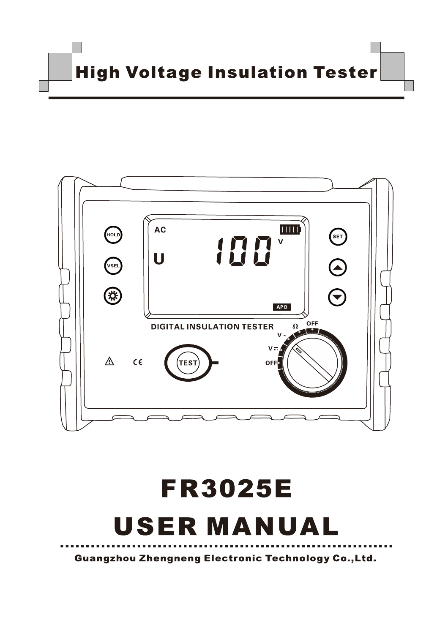**High Voltage Insulation Tester** 



# **FR3025E USER MANUAL**

**Guangzhou Zhengneng Electronic Technology Co., Ltd.**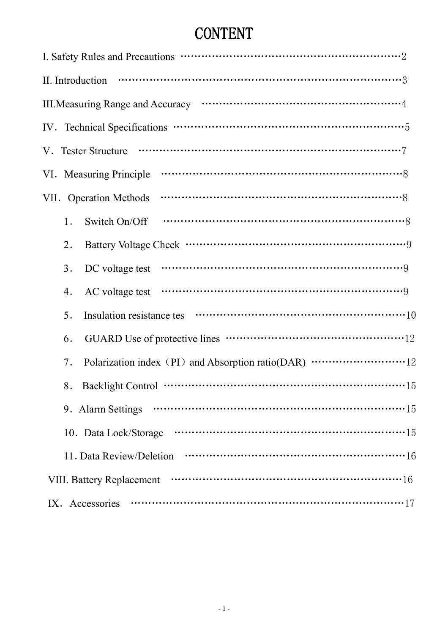## **CONTENT**

| III. Measuring Range and Accuracy manufactured and accuracy manufactured and $4$ |
|----------------------------------------------------------------------------------|
|                                                                                  |
|                                                                                  |
|                                                                                  |
| VII. Operation Methods                                                           |
| Switch On/Off<br>1.                                                              |
| 2.                                                                               |
| 3.<br>DC voltage test                                                            |
| 4.                                                                               |
| 5.                                                                               |
| 6.                                                                               |
| Polarization index (PI) and Absorption ratio(DAR) ………………………12<br>7.              |
|                                                                                  |
| 9. Alarm Settings                                                                |
| 10. Data Lock/Storage                                                            |
| 11. Data Review/Deletion                                                         |
| <b>VIII. Battery Replacement</b>                                                 |
| IX. Accessories                                                                  |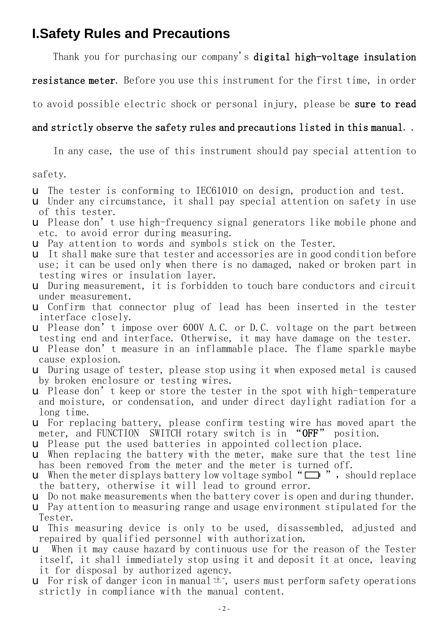## **I.Safety Rules and Precautions**

Thank you for purchasing our company's **digital high-voltage insulation** 

**resistance meter**. Before you use this instrument for the first time, in order

to avoid possible electric shock or personal injury, please be **sure to read** 

#### **and strictly observe the safety rules and precautions listed in this manual**. .

In any case, the use of this instrument should pay special attention to

safety.

- u The tester is conforming to IEC61010 on design, production and test.
- u Under any circumstance, it shall pay special attention on safety in use of this tester.
- u Please don't use high-frequency signal generators like mobile phone and etc. to avoid error during measuring.
- u Pay attention to words and symbols stick on the Tester.
- u It shall make sure that tester and accessories are in good condition before use; it can be used only when there is no damaged, naked or broken part in testing wires or insulation layer.
- u During measurement, it is forbidden to touch bare conductors and circuit under measurement.
- u Confirm that connector plug of lead has been inserted in the tester interface closely.
- u Please don't impose over 600V A.C. or D.C. voltage on the part between testing end and interface. Otherwise, it may have damage on the tester.
- u Please don't measure in an inflammable place. The flame sparkle maybe cause explosion.
- u During usage of tester, please stop using it when exposed metal is caused by broken enclosure or testing wires.
- $\Box$  Please don't keep or store the tester in the spot with high-temperature and moisture, or condensation, and under direct daylight radiation for a long time.
- u For replacing battery, please confirm testing wire has moved apart the meter, and FUNCTION SWITCH rotary switch is in "**OFF**" position.
- u Please put the used batteries in appointed collection place.
- u When replacing the battery with the meter, make sure that the test line has been removed from the meter and the meter is turned off.
- **u** When the meter displays battery low voltage symbol " $\Box$ ", should replace the battery, otherwise it will lead to ground error.
- u Do not make measurements when the battery cover is open and during thunder.
- u Pay attention to measuring range and usage environment stipulated for the Tester.
- u This measuring device is only to be used, disassembled, adjusted and repaired by qualified personnel with authorization.
- u When it may cause hazard by continuous use for the reason of the Tester itself, it shall immediately stop using it and deposit it at once, leaving it for disposal by authorized agency.
- **u** For risk of danger icon in manual  $\hat{\mathbb{R}}$ , users must perform safety operations strictly in compliance with the manual content.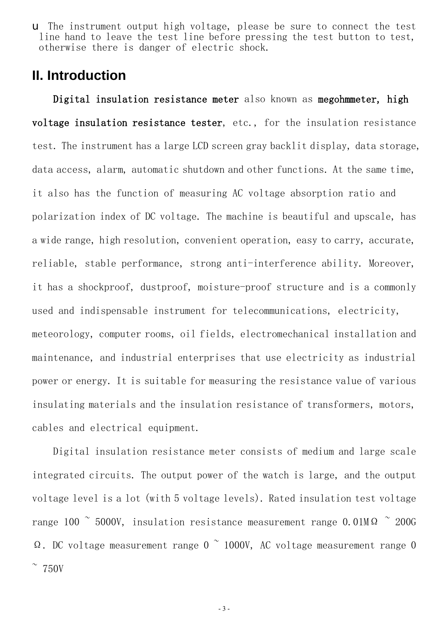u The instrument output high voltage, please be sure to connect the test line hand to leave the test line before pressing the test button to test, otherwise there is danger of electric shock.

## **II. Introduction**

**Digital insulation resistance meter** also known as **megohmmeter, high voltage insulation resistance tester**, etc., for the insulation resistance test. The instrument has a large LCD screen gray backlit display, data storage, data access, alarm, automatic shutdown and other functions. At the same time, it also has the function of measuring AC voltage absorption ratio and polarization index of DC voltage. The machine is beautiful and upscale, has a wide range, high resolution, convenient operation, easy to carry, accurate, reliable, stable performance, strong anti-interference ability. Moreover, it has a shockproof, dustproof, moisture-proof structure and is a commonly used and indispensable instrument for telecommunications, electricity, meteorology, computer rooms, oil fields, electromechanical installation and maintenance, and industrial enterprises that use electricity as industrial power or energy. It is suitable for measuring the resistance value of various insulating materials and the insulation resistance of transformers, motors, cables and electrical equipment.

Digital insulation resistance meter consists of medium and large scale integrated circuits. The output power of the watch is large, and the output voltage level is a lot (with 5 voltage levels). Rated insulation test voltage range 100  $\degree$  5000V, insulation resistance measurement range 0.01M $\Omega$   $\degree$  200G Ω. DC voltage measurement range  $0 \sim 1000$ V, AC voltage measurement range 0  $\degree$  750V

- 3 -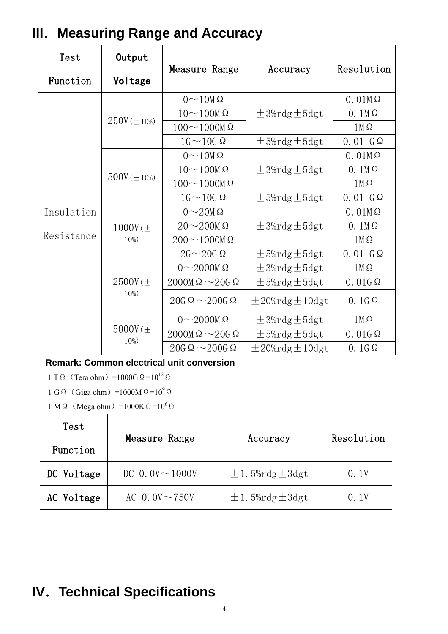| Test       | Output                             | Measure Range                            | Accuracy                    | Resolution       |
|------------|------------------------------------|------------------------------------------|-----------------------------|------------------|
| Function   | Voltage                            |                                          |                             |                  |
|            |                                    | $0\!\sim\!10M\Omega$                     |                             | $0.01M\Omega$    |
|            |                                    | $10\sim100M\Omega$                       | $\pm$ 3%rdg $\pm$ 5dgt      | $0.1M\Omega$     |
|            | $250V (\pm 10\%)$                  | $100 \sim 1000$ M $\Omega$               |                             | $1M\Omega$       |
|            |                                    | $16 \sim 10G \Omega$                     | $\pm$ 5%rdg $\pm$ 5dgt      | $0.01$ $G\Omega$ |
|            |                                    | $0\!\sim\!10M\,\Omega$                   |                             | $0.01M\Omega$    |
|            | $500V (\pm 10%)$                   | $10\sim100M\Omega$                       | $\pm$ 3%rdg $\pm$ 5dgt      | $0.1M\Omega$     |
|            |                                    | $100\sim1000$ M $\Omega$                 |                             | $1M\Omega$       |
|            |                                    | $16 \sim 10G \Omega$                     | $\pm$ 5%rdg $\pm$ 5dgt      | $0.01$ $G\Omega$ |
| Insulation |                                    | $0\sim20M\Omega$                         |                             | $0.01M\Omega$    |
|            | $1000V \left( \pm \right.$         | $20\sim200M\Omega$                       | $\pm$ 3%rdg $\pm$ 5dgt      | $0.1M\Omega$     |
| Resistance | $10%$ )                            | $200\mathtt{\sim}1000\mathtt{M}\,\Omega$ |                             | $1M\Omega$       |
|            |                                    | $2G \sim 20G \Omega$                     | $± 5%$ rdg $± 5$ dgt        | $0.01$ $G\Omega$ |
|            |                                    | $0\sim2000M\Omega$                       | $\pm$ 3%rdg $\pm$ 5dgt      | $1M\Omega$       |
|            | $2500V \left( \pm \right.$<br>10%) | $2000M\Omega \sim 20G\Omega$             | $± 5%$ rdg $± 5$ dgt        | $0.01G\Omega$    |
|            |                                    | $20G \Omega \sim 200G \Omega$            | $\pm 20\%$ rdg $\pm 10$ dgt | $0.16\Omega$     |
|            |                                    | $0\sim2000M\Omega$                       | $\pm$ 3%rdg $\pm$ 5dgt      | $1M\Omega$       |
|            | $5000$ ( $\pm$<br>$10%$ )          | $2000M\Omega \sim 20G\Omega$             | $± 5%$ rdg $± 5$ dgt        | $0.01G\Omega$    |
|            |                                    | $20G \Omega \sim 200G \Omega$            | $\pm 20\%$ rdg $\pm 10$ dgt | $0.1G\Omega$     |

## **III.Measuring Range and Accuracy**

**Remark: Common electrical unit conversion** 

1 TΩ (Tera ohm) =1000GΩ=10<sup>12</sup>Ω

1 G  $\Omega$  (Giga ohm) =1000M  $\Omega$ =10<sup>9</sup> $\Omega$ 

 $1 \text{ M }\Omega$  (Mega ohm) =1000K  $\Omega$  =10<sup>6</sup>  $\Omega$ 

| Test       | Measure Range        | Accuracy                    | Resolution |
|------------|----------------------|-----------------------------|------------|
| Function   |                      |                             |            |
| DC Voltage | DC 0.0V $\sim$ 1000V | $\pm 1.5\%$ rdg $\pm 3$ dgt | 0.1V       |
| AC Voltage | AC 0.0V $\sim$ 750V  | $\pm 1.5\%$ rdg $\pm 3$ dgt | 0. 1V      |

## **IV.Technical Specifications**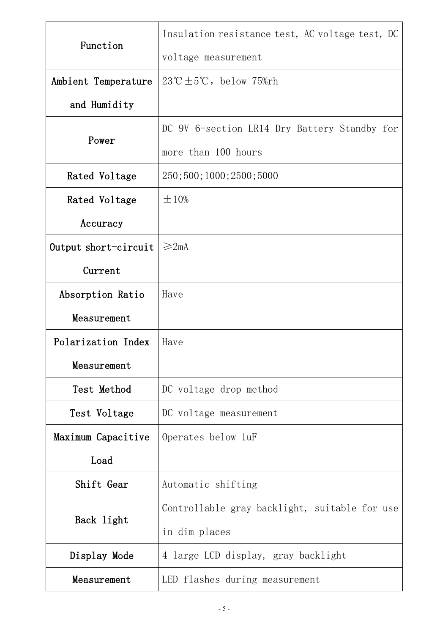|                                         | Insulation resistance test, AC voltage test, DC          |  |  |
|-----------------------------------------|----------------------------------------------------------|--|--|
| Function                                | voltage measurement                                      |  |  |
| Ambient Temperature                     | $23^{\circ}\text{C} \pm 5^{\circ}\text{C}$ , below 75%rh |  |  |
| and Humidity                            |                                                          |  |  |
|                                         | DC 9V 6-section LR14 Dry Battery Standby for             |  |  |
| Power                                   | more than 100 hours                                      |  |  |
| Rated Voltage                           | 250; 500; 1000; 2500; 5000                               |  |  |
| Rated Voltage                           | $\pm 10\%$                                               |  |  |
| Accuracy                                |                                                          |  |  |
| $\geqslant$ 2mA<br>Output short-circuit |                                                          |  |  |
| Current                                 |                                                          |  |  |
| Absorption Ratio                        | Have                                                     |  |  |
| Measurement                             |                                                          |  |  |
| Polarization Index                      | Have                                                     |  |  |
| Measurement                             |                                                          |  |  |
| Test Method                             | DC voltage drop method                                   |  |  |
| Test Voltage                            | DC voltage measurement                                   |  |  |
| Maximum Capacitive                      | Operates below 1uF                                       |  |  |
| Load                                    |                                                          |  |  |
| Shift Gear                              | Automatic shifting                                       |  |  |
|                                         | Controllable gray backlight, suitable for use            |  |  |
| Back light                              | in dim places                                            |  |  |
| Display Mode                            | 4 large LCD display, gray backlight                      |  |  |
| Measurement                             | LED flashes during measurement                           |  |  |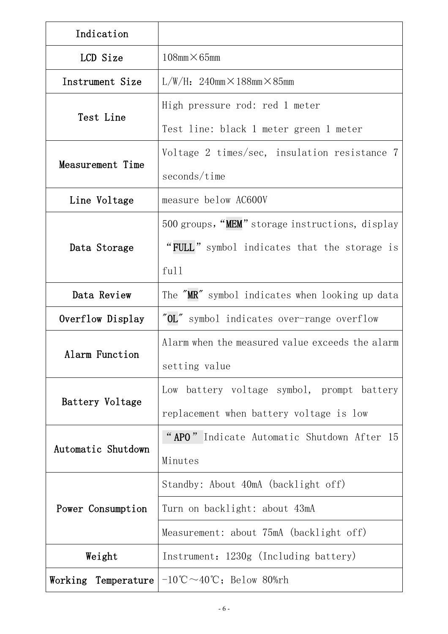| Indication         |                                                                                 |  |  |
|--------------------|---------------------------------------------------------------------------------|--|--|
| LCD Size           | $108$ mm $\times$ 65mm                                                          |  |  |
| Instrument Size    | $L/W/H$ : 240mm $\times$ 188mm $\times$ 85mm                                    |  |  |
|                    | High pressure rod: red 1 meter                                                  |  |  |
| Test Line          | Test line: black 1 meter green 1 meter                                          |  |  |
|                    | Voltage 2 times/sec, insulation resistance 7                                    |  |  |
| Measurement Time   | seconds/time                                                                    |  |  |
| Line Voltage       | measure below AC600V                                                            |  |  |
|                    | 500 groups, "MEM" storage instructions, display                                 |  |  |
| Data Storage       | "FULL" symbol indicates that the storage is                                     |  |  |
|                    | ful1                                                                            |  |  |
| Data Review        | The "MR" symbol indicates when looking up data                                  |  |  |
| Overflow Display   | $^{\prime\prime}$ OL $^{\prime\prime}$<br>symbol indicates over-range overflow  |  |  |
|                    | Alarm when the measured value exceeds the alarm                                 |  |  |
| Alarm Function     | setting value                                                                   |  |  |
|                    | Low battery voltage symbol, prompt battery                                      |  |  |
| Battery Voltage    | replacement when battery voltage is low                                         |  |  |
|                    | "APO" Indicate Automatic Shutdown After 15                                      |  |  |
| Automatic Shutdown | Minutes                                                                         |  |  |
|                    | Standby: About 40mA (backlight off)                                             |  |  |
| Power Consumption  | Turn on backlight: about 43mA                                                   |  |  |
|                    | Measurement: about 75mA (backlight off)                                         |  |  |
| Weight             | Instrument: 1230g (Including battery)                                           |  |  |
|                    | Working Temperature $-10^{\circ}\text{C} \sim 40^{\circ}\text{C}$ ; Below 80%rh |  |  |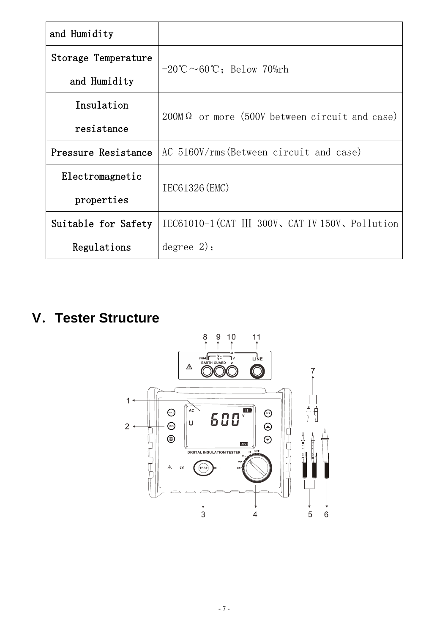| and Humidity        |                                                             |  |  |
|---------------------|-------------------------------------------------------------|--|--|
| Storage Temperature | $-20^{\circ}\text{C} \sim 60^{\circ}\text{C}$ : Below 70%rh |  |  |
| and Humidity        |                                                             |  |  |
| Insulation          | $200$ M $\Omega$ or more (500V between circuit and case)    |  |  |
| resistance          |                                                             |  |  |
| Pressure Resistance | AC 5160V/rms (Between circuit and case)                     |  |  |
| Electromagnetic     | IEC61326 (EMC)                                              |  |  |
| properties          |                                                             |  |  |
| Suitable for Safety | IEC61010-1 (CAT III 300V, CAT IV 150V, Pollution            |  |  |
| Regulations         | degree 2);                                                  |  |  |

## **V.Tester Structure**

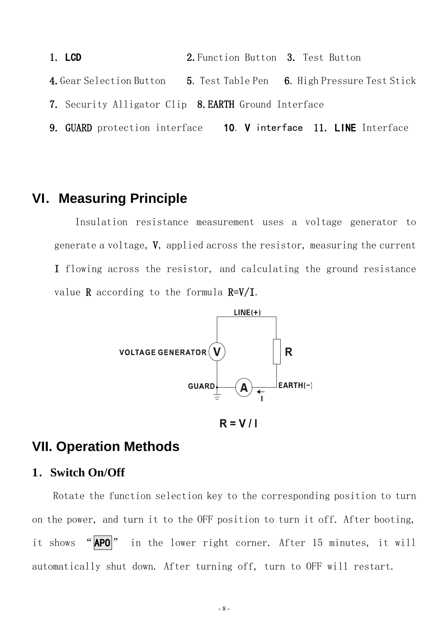**1. LCD 2.**Function Button **3.** Test Button **4.**Gear Selection Button **5**. Test Table Pen **6**. High Pressure Test Stick **7.** Security Alligator Clip **8.EARTH** Ground Interface **9. GUARD** protection interface **10**. **V** interface **11. LINE** Interface

## **VI.Measuring Principle**

Insulation resistance measurement uses a voltage generator to generate a voltage, **V**, applied across the resistor, measuring the current **I** flowing across the resistor, and calculating the ground resistance value **R** according to the formula **R=V/I**.



 $R = V/I$ 

## **VII. Operation Methods**

#### **1.Switch On/Off**

Rotate the function selection key to the corresponding position to turn on the power, and turn it to the OFF position to turn it off. After booting, it shows "**APO**" in the lower right corner. After 15 minutes, it will automatically shut down. After turning off, turn to OFF will restart.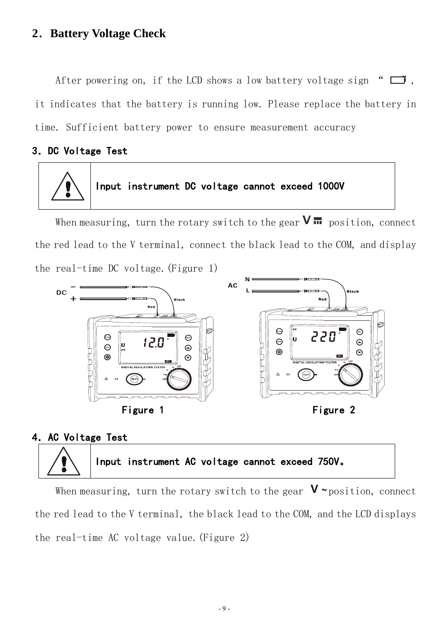## **2.Battery Voltage Check**

After powering on, if the LCD shows a low battery voltage sign " $\Box$ ", it indicates that the battery is running low. Please replace the battery in time. Sufficient battery power to ensure measurement accuracy

#### **3.DC Voltage Test**



## **Input instrument DC voltage cannot exceed 1000V**

When measuring, turn the rotary switch to the gear  $\mathbf{V}$   $\mathbf{m}$  position, connect the red lead to the V terminal, connect the black lead to the COM, and display the real-time DC voltage.(Figure 1)



#### **4.AC Voltage Test**



When measuring, turn the rotary switch to the gear  $V \sim$  position, connect the red lead to the V terminal, the black lead to the COM, and the LCD displays the real-time AC voltage value.(Figure 2)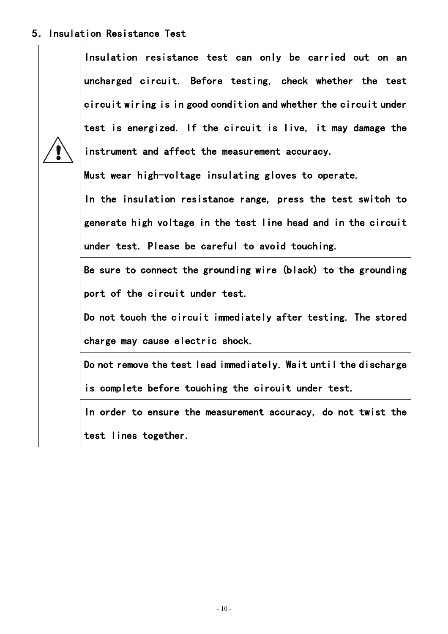## **5.Insulation Resistance Test**

| Insulation resistance test can only be carried out on an          |  |  |  |  |  |  |
|-------------------------------------------------------------------|--|--|--|--|--|--|
| uncharged circuit. Before testing, check whether the test         |  |  |  |  |  |  |
| circuit wiring is in good condition and whether the circuit under |  |  |  |  |  |  |
| test is energized. If the circuit is live, it may damage the      |  |  |  |  |  |  |
| instrument and affect the measurement accuracy.                   |  |  |  |  |  |  |
| Must wear high-voltage insulating gloves to operate.              |  |  |  |  |  |  |
| In the insulation resistance range, press the test switch to      |  |  |  |  |  |  |
| generate high voltage in the test line head and in the circuit    |  |  |  |  |  |  |
| under test. Please be careful to avoid touching.                  |  |  |  |  |  |  |
| Be sure to connect the grounding wire (black) to the grounding    |  |  |  |  |  |  |
| port of the circuit under test.                                   |  |  |  |  |  |  |
| Do not touch the circuit immediately after testing. The stored    |  |  |  |  |  |  |
| charge may cause electric shock.                                  |  |  |  |  |  |  |
| Do not remove the test lead immediately. Wait until the discharge |  |  |  |  |  |  |
| is complete before touching the circuit under test.               |  |  |  |  |  |  |
| In order to ensure the measurement accuracy, do not twist the     |  |  |  |  |  |  |
| test lines together.                                              |  |  |  |  |  |  |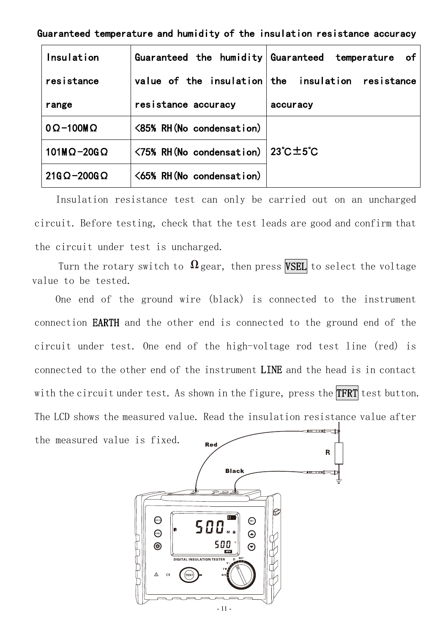#### **Guaranteed temperature and humidity of the insulation resistance accuracy**

| Insulation                |                          | Guaranteed the humidity Guaranteed temperature<br>of |
|---------------------------|--------------------------|------------------------------------------------------|
| resistance                |                          | value of the insulation the insulation resistance    |
| range                     | resistance accuracy      | accuracy                                             |
| $0 \Omega - 100 M \Omega$ | <85% RH(No condensation) |                                                      |
| $101M\Omega - 20G\Omega$  | <75% RH(No condensation) | $23^{\circ}$ C $\pm$ 5 $^{\circ}$ C                  |
| $21G\Omega - 200G\Omega$  | <65% RH(No condensation) |                                                      |

Insulation resistance test can only be carried out on an uncharged circuit. Before testing, check that the test leads are good and confirm that the circuit under test is uncharged.

Turn the rotary switch to  $\Omega$  gear, then press **VSEL** to select the voltage value to be tested.

One end of the ground wire (black) is connected to the instrument connection **EARTH** and the other end is connected to the ground end of the circuit under test. One end of the high-voltage rod test line (red) is connected to the other end of the instrument **LINE** and the head is in contact with the circuit under test. As shown in the figure, press the **TFRT** test button. The LCD shows the measured value. Read the insulation resistance value after

the measured value is fixed.

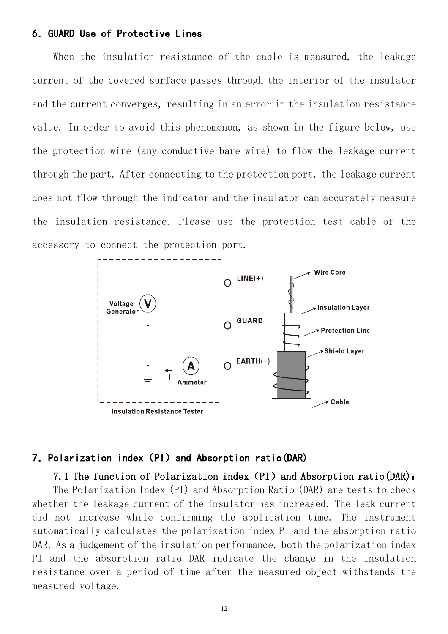#### **6.GUARD Use of Protective Lines**

When the insulation resistance of the cable is measured, the leakage current of the covered surface passes through the interior of the insulator and the current converges, resulting in an error in the insulation resistance value. In order to avoid this phenomenon, as shown in the figure below, use the protection wire (any conductive bare wire) to flow the leakage current through the part. After connecting to the protection port, the leakage current does not flow through the indicator and the insulator can accurately measure the insulation resistance. Please use the protection test cable of the accessory to connect the protection port.



#### **7.Polarization index(PI)and Absorption ratio(DAR)**

#### **7.1 The function of Polarization index(PI)and Absorption ratio(DAR):**

The Polarization Index (PI) and Absorption Ratio (DAR) are tests to check whether the leakage current of the insulator has increased. The leak current did not increase while confirming the application time. The instrument automatically calculates the polarization index PI and the absorption ratio DAR. As a judgement of the insulation performance, both the polarization index PI and the absorption ratio DAR indicate the change in the insulation resistance over a period of time after the measured object withstands the measured voltage.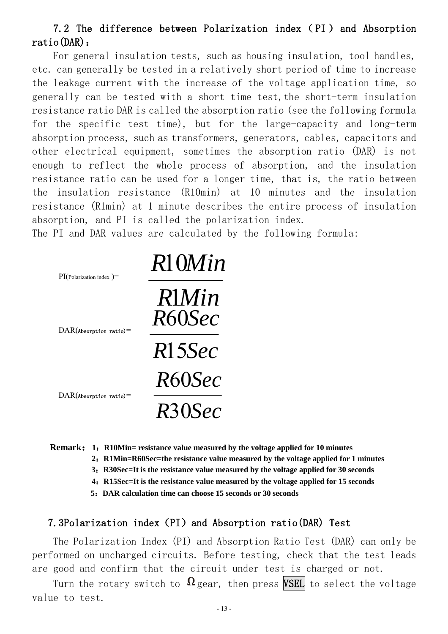## **7.2 The difference between Polarization index ( PI ) and Absorption ratio(DAR):**

For general insulation tests, such as housing insulation, tool handles, etc. can generally be tested in a relatively short period of time to increase the leakage current with the increase of the voltage application time, so generally can be tested with a short time test,the short-term insulation resistance ratio DAR is called the absorption ratio (see the following formula for the specific test time), but for the large-capacity and long-term absorption process, such as transformers, generators, cables, capacitors and other electrical equipment, sometimes the absorption ratio (DAR) is not enough to reflect the whole process of absorption, and the insulation resistance ratio can be used for a longer time, that is, the ratio between the insulation resistance (R10min) at 10 minutes and the insulation resistance (R1min) at 1 minute describes the entire process of insulation absorption, and PI is called the polarization index.

The PI and DAR values are calculated by the following formula:

| $PI(Polarization index)$ =       | R10Min                 |
|----------------------------------|------------------------|
| $\text{DAR}$ (Absorption ratio)= | <b>R</b> Min<br>R60Sec |
|                                  | R15Sec                 |
|                                  | R60Sec                 |
| $\text{DAR}$ (Absorption ratio)= | R30Sec                 |

**Remark:1:R10Min= resistance value measured by the voltage applied for 10 minutes** 

 **2:R1Min=R60Sec=the resistance value measured by the voltage applied for 1 minutes**

**3:R30Sec=It is the resistance value measured by the voltage applied for 30 seconds** 

 **4:R15Sec=It is the resistance value measured by the voltage applied for 15 seconds** 

**5:DAR calculation time can choose 15 seconds or 30 seconds** 

#### **7.3Polarization index(PI)and Absorption ratio(DAR) Test**

The Polarization Index (PI) and Absorption Ratio Test (DAR) can only be performed on uncharged circuits. Before testing, check that the test leads are good and confirm that the circuit under test is charged or not.

Turn the rotary switch to  $\Omega$  gear, then press **VSEL** to select the voltage value to test.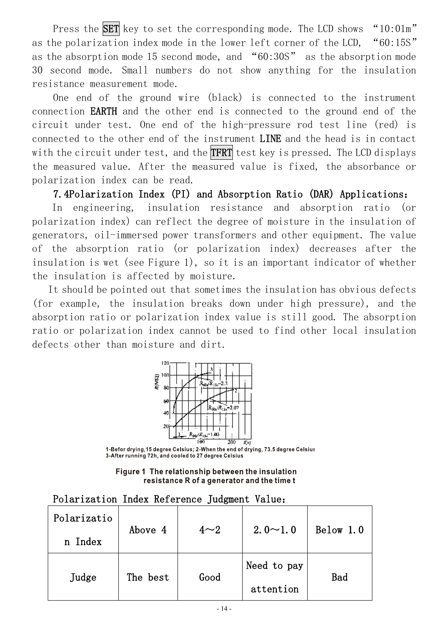Press the **SET** key to set the corresponding mode. The LCD shows "10:01m" as the polarization index mode in the lower left corner of the LCD, "60:15S" as the absorption mode 15 second mode, and "60:30S" as the absorption mode 30 second mode. Small numbers do not show anything for the insulation resistance measurement mode.

One end of the ground wire (black) is connected to the instrument connection **EARTH** and the other end is connected to the ground end of the circuit under test. One end of the high-pressure rod test line (red) is connected to the other end of the instrument **LINE** and the head is in contact with the circuit under test, and the **TFRT** test key is pressed. The LCD displays the measured value. After the measured value is fixed, the absorbance or polarization index can be read.

**7.4Polarization Index (PI) and Absorption Ratio (DAR) Applications:**

In engineering, insulation resistance and absorption ratio (or polarization index) can reflect the degree of moisture in the insulation of generators, oil-immersed power transformers and other equipment. The value of the absorption ratio (or polarization index) decreases after the insulation is wet (see Figure 1), so it is an important indicator of whether the insulation is affected by moisture.

It should be pointed out that sometimes the insulation has obvious defects (for example, the insulation breaks down under high pressure), and the absorption ratio or polarization index value is still good. The absorption ratio or polarization index cannot be used to find other local insulation defects other than moisture and dirt.



1-Befor drying, 15 degree Celsius; 2-When the end of drying, 73.5 degree Celsius 3-After running 72h, and cooled to 27 degree Celsius

Figure 1 The relationship between the insulation resistance R of a generator and the time t

#### **Polarization Index Reference Judgment Value:**

| Polarizatio | Above 4  | $4\sim2$ | $2.0 \sim 1.0$ | Below 1.0  |
|-------------|----------|----------|----------------|------------|
| n Index     |          |          |                |            |
|             | The best | Good     | Need to pay    | <b>Bad</b> |
| Judge       |          |          | attention      |            |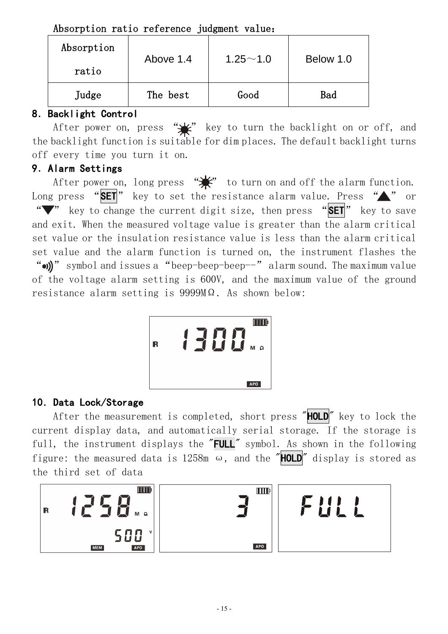| Absorption<br>ratio | Above 1.4 | $1.25 - 1.0$ | Below 1.0 |
|---------------------|-----------|--------------|-----------|
| Judge               | The best  | Good         | Bad       |

## **8**.**Backlight Control**

After power on, press " $\frac{1}{2}$ " key to turn the backlight on or off, and the backlight function is suitable for dim places. The default backlight turns off every time you turn it on.

## **9**.**Alarm Settings**

After power on, long press  $\overleftrightarrow{\bullet}$  to turn on and off the alarm function. Long press "SET" key to set the resistance alarm value. Press "A" or " " " key to change the current digit size, then press "SET" key to save and exit. When the measured voltage value is greater than the alarm critical set value or the insulation resistance value is less than the alarm critical set value and the alarm function is turned on, the instrument flashes the " $\omega$ )" symbol and issues a "beep-beep-beep--" alarm sound. The maximum value of the voltage alarm setting is 600V, and the maximum value of the ground resistance alarm setting is 9999MΩ. As shown below:



## **10**.**Data Lock/Storage**

After the measurement is completed, short press "**HOLD**" key to lock the current display data, and automatically serial storage. If the storage is full, the instrument displays the "**FULL**" symbol. As shown in the following figure: the measured data is 1258m  $\omega$ , and the "**HOLD**" display is stored as the third set of data

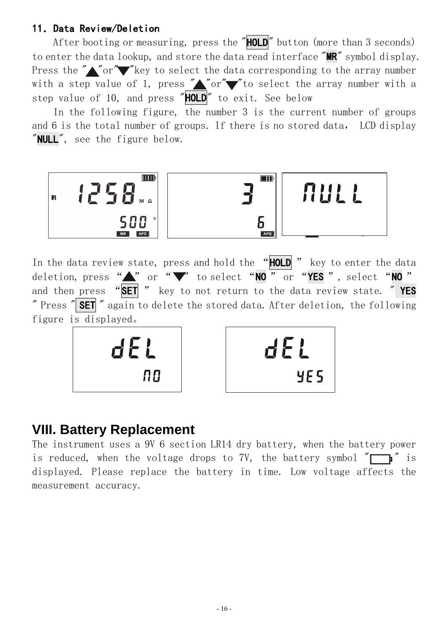## **11.Data Review/Deletion**

After booting or measuring, press the "**HOLD**" button (more than 3 seconds) to enter the data lookup, and store the data read interface "**MR**" symbol display. Press the " $\sqrt{\alpha}$ " "Key to select the data corresponding to the array number with a step value of 1, press " $\triangle$ " or" $\blacktriangledown$ " to select the array number with a step value of 10, and press "**HOLD**" to exit. See below

In the following figure, the number 3 is the current number of groups and 6 is the total number of groups. If there is no stored data, LCD display "**NULL**", see the figure below.



In the data review state, press and hold the "**HOLD** " key to enter the data deletion, press " " or " v to select "NO " or "YES", select "NO" and then press "**SET** " key to not return to the data review state. " **YES** " Press " **SET** " again to delete the stored data. After deletion, the following figure is displayed。





## **VIII. Battery Replacement**

The instrument uses a 9V 6 section LR14 dry battery, when the battery power is reduced, when the voltage drops to 7V, the battery symbol  $\sqrt[m]{\ }$  is displayed. Please replace the battery in time. Low voltage affects the measurement accuracy.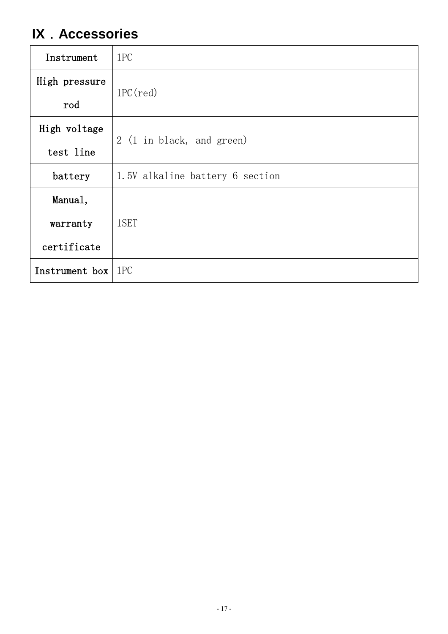## **IX.Accessories**

| Instrument           | 1PC                             |
|----------------------|---------------------------------|
| High pressure        | $1PC(\text{red})$               |
| rod                  |                                 |
| High voltage         | 2 (1 in black, and green)       |
| test line            |                                 |
| battery              | 1.5V alkaline battery 6 section |
| Manual,              |                                 |
| warranty             | 1SET                            |
| certificate          |                                 |
| Instrument box   1PC |                                 |